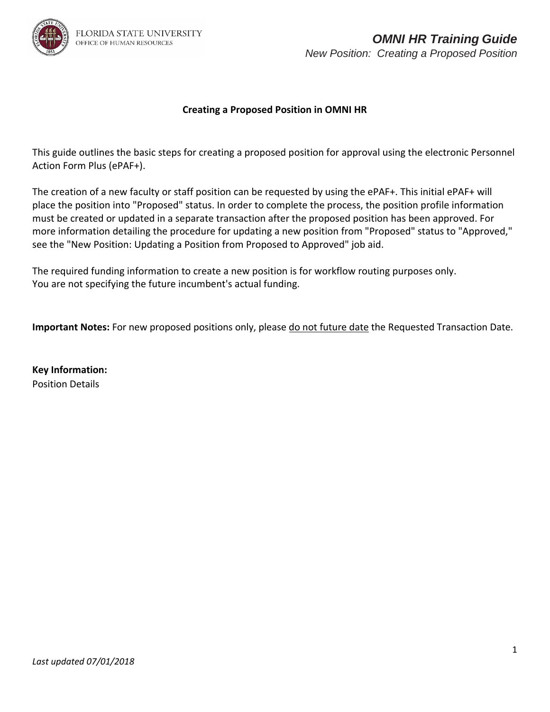

## **Creating a Proposed Position in OMNI HR**

This guide outlines the basic steps for creating a proposed position for approval using the electronic Personnel Action Form Plus (ePAF+).

The creation of a new faculty or staff position can be requested by using the ePAF+. This initial ePAF+ will place the position into "Proposed" status. In order to complete the process, the position profile information must be created or updated in a separate transaction after the proposed position has been approved. For more information detailing the procedure for updating a new position from "Proposed" status to "Approved," see the "New Position: Updating a Position from Proposed to Approved" job aid.

The required funding information to create a new position is for workflow routing purposes only. You are not specifying the future incumbent's actual funding.

**Important Notes:** For new proposed positions only, please do not future date the Requested Transaction Date.

**Key Information:**  Position Details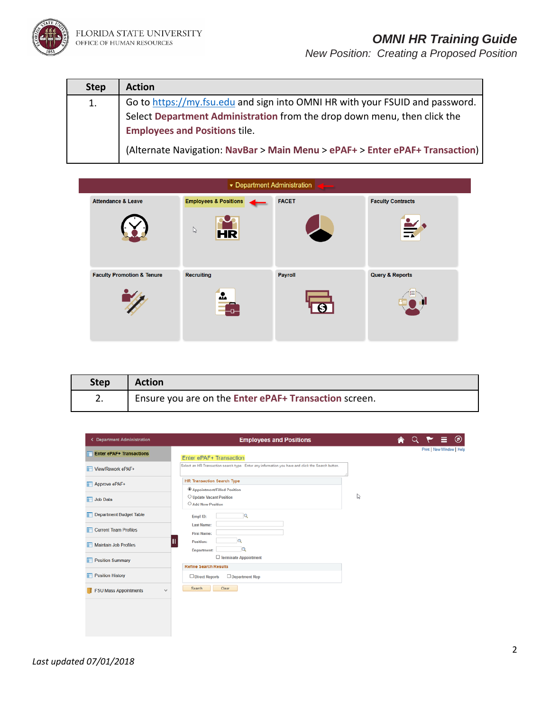

| <b>Step</b> | <b>Action</b>                                                                |
|-------------|------------------------------------------------------------------------------|
| 1.          | Go to https://my.fsu.edu and sign into OMNI HR with your FSUID and password. |
|             | Select Department Administration from the drop down menu, then click the     |
|             | <b>Employees and Positions tile.</b>                                         |
|             | (Alternate Navigation: NavBar > Main Menu > ePAF+ > Enter ePAF+ Transaction) |

|                                       | ▼ Department Administration      |              |                            |
|---------------------------------------|----------------------------------|--------------|----------------------------|
| <b>Attendance &amp; Leave</b>         | <b>Employees &amp; Positions</b> | <b>TACET</b> | <b>Faculty Contracts</b>   |
|                                       | $\mathbb{P}$<br><b>HR</b>        |              | ᆇ<br>$\Xi$                 |
| <b>Faculty Promotion &amp; Tenure</b> | <b>Recruiting</b>                | Payroll      | <b>Query &amp; Reports</b> |
|                                       | Δ.                               |              |                            |

| Step | <b>Action</b>                                         |
|------|-------------------------------------------------------|
| 2.   | Ensure you are on the Enter ePAF+ Transaction screen. |

| <b>&lt; Department Administration</b>        | <b>Employees and Positions</b>                                                                    | $\circledcirc$            |
|----------------------------------------------|---------------------------------------------------------------------------------------------------|---------------------------|
| <b>Enter ePAF+ Transactions</b>              | Enter ePAF+ Transaction                                                                           | Print   New Window   Help |
| View/Rework ePAF+                            | Select an HR Transaction search type. Enter any information you have and click the Search button. |                           |
| Approve ePAF+                                | <b>HR Transaction Search Type</b><br><sup>4</sup> Appointment/Filled Position                     |                           |
| Job Data                                     | O Update Vacant Position<br>O Add New Position                                                    | ↳                         |
| Department Budget Table                      | $\overline{a}$<br>Empl ID:                                                                        |                           |
| Current Team Profiles                        | <b>Last Name:</b><br><b>First Name:</b>                                                           |                           |
| Maintain Job Profiles                        | Q<br>Position:<br>a<br>Department:                                                                |                           |
| <b>Position Summary</b>                      | □ Terminate Appointment<br><b>Refine Search Results</b>                                           |                           |
| <b>Position History</b>                      | Direct Reports<br>Department Rep                                                                  |                           |
| <b>FSU Mass Appointments</b><br>$\checkmark$ | Clear<br>Search                                                                                   |                           |
|                                              |                                                                                                   |                           |
|                                              |                                                                                                   |                           |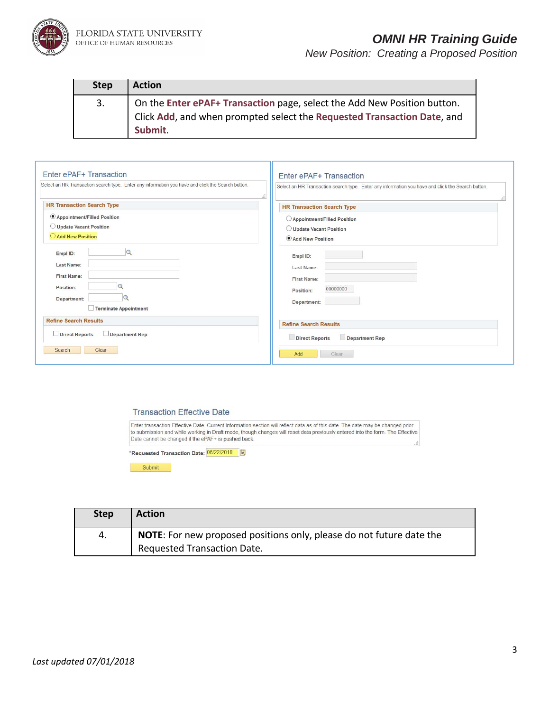

| <b>Step</b> | <b>Action</b>                                                                                                                                                  |
|-------------|----------------------------------------------------------------------------------------------------------------------------------------------------------------|
| 3.          | On the Enter ePAF+ Transaction page, select the Add New Position button.<br>Click Add, and when prompted select the Requested Transaction Date, and<br>Submit. |

| Enter ePAF+ Transaction                                                                           | Enter ePAF+ Transaction                                                                           |
|---------------------------------------------------------------------------------------------------|---------------------------------------------------------------------------------------------------|
| Select an HR Transaction search type. Enter any information you have and click the Search button. | Select an HR Transaction search type. Enter any information you have and click the Search button. |
| иĐ                                                                                                | Ш                                                                                                 |
| <b>HR Transaction Search Type</b>                                                                 | <b>HR Transaction Search Type</b>                                                                 |
| Appointment/Filled Position<br>O Update Vacant Position<br>Add New Position<br>$\mathbb{Q}$       | ○ Appointment/Filled Position<br>O Update Vacant Position<br>Add New Position                     |
| Empl ID:                                                                                          | Empl ID:                                                                                          |
| Last Name:                                                                                        | Last Name:                                                                                        |
| <b>First Name:</b>                                                                                | <b>First Name:</b>                                                                                |
| Position:                                                                                         | 00000000                                                                                          |
| Department:                                                                                       | Position:                                                                                         |
| Terminate Appointment                                                                             | Department:                                                                                       |
| <b>Refine Search Results</b>                                                                      | <b>Refine Search Results</b>                                                                      |
| Direct Reports                                                                                    | <b>Direct Reports</b>                                                                             |
| $\Box$ Department Rep                                                                             | <b>Department Rep</b>                                                                             |
| Search                                                                                            | Add                                                                                               |
| Clear                                                                                             | Clear                                                                                             |

## **Transaction Effective Date**

Enter transaction Effective Date. Current Information section will reflect data as of this date. The date may be changed prior to submission and while working in Draft mode, though changes will reset data previously entered into the form. The Effective Date cannot be changed if the ePAF+ is pushed back.

\*Requested Transaction Date: 06/22/2018 31

Submit

| <b>Step</b> | <b>Action</b>                                                               |
|-------------|-----------------------------------------------------------------------------|
| 4.          | <b>NOTE:</b> For new proposed positions only, please do not future date the |
|             | Requested Transaction Date.                                                 |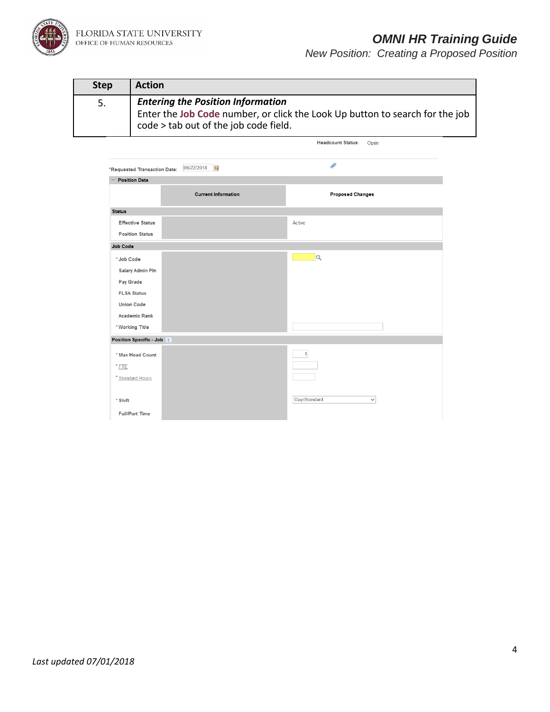

| <b>Step</b> | <b>Action</b>                                                                                                                                                     |
|-------------|-------------------------------------------------------------------------------------------------------------------------------------------------------------------|
| 5.          | <b>Entering the Position Information</b><br>Enter the Job Code number, or click the Look Up button to search for the job<br>code > tab out of the job code field. |

Headcount Status: Open

| *Requested Transaction Date: | 06/22/2018<br>$\mathbf{B}$ | P                            |
|------------------------------|----------------------------|------------------------------|
| <b>Position Data</b>         |                            |                              |
|                              | <b>Current Information</b> | <b>Proposed Changes</b>      |
| <b>Status</b>                |                            |                              |
| <b>Effective Status</b>      |                            | Active                       |
| <b>Position Status</b>       |                            |                              |
| <b>Job Code</b>              |                            |                              |
| * Job Code                   |                            | $\overline{Q}$               |
| <b>Salary Admin Pln</b>      |                            |                              |
| Pay Grade                    |                            |                              |
| <b>FLSA Status</b>           |                            |                              |
| <b>Union Code</b>            |                            |                              |
| <b>Academic Rank</b>         |                            |                              |
| * Working Title              |                            |                              |
| Position Specific - Job      |                            |                              |
| * Max Head Count             |                            | $\mathbf{1}$                 |
| $*$ FTE                      |                            |                              |
| * Standard Hours             |                            |                              |
|                              |                            |                              |
| * Shift                      |                            | Day/Standard<br>$\checkmark$ |
| <b>Full/Part Time</b>        |                            |                              |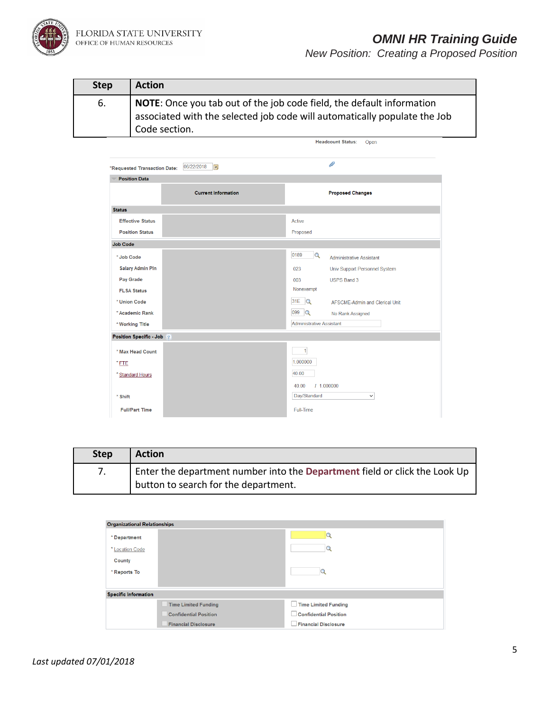

FLORIDA STATE UNIVERSITY<br>office of human resources

## *OMNI HR Training Guide*

*New Position: Creating a Proposed Position*

| <b>Step</b> | <b>Action</b>                                                                                                                                                       |
|-------------|---------------------------------------------------------------------------------------------------------------------------------------------------------------------|
| 6.          | NOTE: Once you tab out of the job code field, the default information<br>associated with the selected job code will automatically populate the Job<br>Code section. |

Headcount Status: Open

| *Requested Transaction Date: | 06/22/2018<br>$\overline{\mathbf{B}}$ | D                                            |
|------------------------------|---------------------------------------|----------------------------------------------|
| <b>Position Data</b>         |                                       |                                              |
|                              | <b>Current Information</b>            | <b>Proposed Changes</b>                      |
| <b>Status</b>                |                                       |                                              |
| <b>Effective Status</b>      |                                       | Active                                       |
| <b>Position Status</b>       |                                       | Proposed                                     |
| <b>Job Code</b>              |                                       |                                              |
| * Job Code                   |                                       | 0189<br>$\alpha$<br>Administrative Assistant |
| <b>Salary Admin Pln</b>      |                                       | Univ Support Personnel System<br>023         |
| Pay Grade                    |                                       | 003<br><b>USPS Band 3</b>                    |
| <b>FLSA Status</b>           |                                       | Nonexempt                                    |
| * Union Code                 |                                       | 31E Q<br>AFSCME-Admin and Clerical Unit      |
| * Academic Rank              |                                       | 099 Q<br>No Rank Assigned                    |
| * Working Title              |                                       | <b>Administrative Assistant</b>              |
| Position Specific - Job      |                                       |                                              |
| * Max Head Count             |                                       | 1                                            |
| $*$ FTE                      |                                       | 1.000000                                     |
| * Standard Hours             |                                       | 40.00                                        |
|                              |                                       | 40.00<br>1.000000                            |
| * Shift                      |                                       | Day/Standard<br>$\checkmark$                 |
| <b>Full/Part Time</b>        |                                       | Full-Time                                    |

| <b>Step</b> | <b>Action</b>                                                              |
|-------------|----------------------------------------------------------------------------|
|             | Enter the department number into the Department field or click the Look Up |
|             | button to search for the department.                                       |

| <b>Organizational Relationships</b> |                              |                              |
|-------------------------------------|------------------------------|------------------------------|
| *Department                         |                              |                              |
| * Location Code                     |                              |                              |
| <b>County</b>                       |                              |                              |
| * Reports To                        |                              |                              |
|                                     |                              |                              |
| <b>Specific Information</b>         |                              |                              |
|                                     | <b>Time Limited Funding</b>  | Time Limited Funding         |
|                                     | <b>Confidential Position</b> | <b>Confidential Position</b> |
|                                     | <b>Financial Disclosure</b>  | <b>Financial Disclosure</b>  |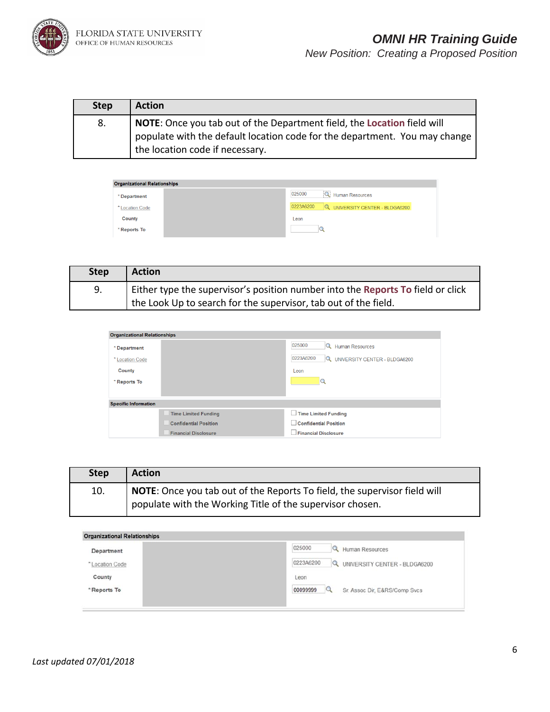

| <b>Step</b> | <b>Action</b>                                                                                                                                                                            |
|-------------|------------------------------------------------------------------------------------------------------------------------------------------------------------------------------------------|
| 8.          | NOTE: Once you tab out of the Department field, the Location field will<br>populate with the default location code for the department. You may change<br>the location code if necessary. |

| <b>Organizational Relationships</b> |                                                  |
|-------------------------------------|--------------------------------------------------|
| * Department                        | Human Resources<br>025000                        |
| * Location Code                     | 0223A6200<br>UNIVERSITY CENTER - BLDGA6200<br>Q. |
| County                              | Leon                                             |
| * Reports To                        |                                                  |

| <b>Step</b> | <b>Action</b>                                                                                                                                      |
|-------------|----------------------------------------------------------------------------------------------------------------------------------------------------|
| 9.          | Either type the supervisor's position number into the Reports To field or click<br>the Look Up to search for the supervisor, tab out of the field. |

| <b>Organizational Relationships</b> |                              |                                                        |
|-------------------------------------|------------------------------|--------------------------------------------------------|
| * Department                        |                              | 025000<br><b>Q</b> Human Resources                     |
| * Location Code                     |                              | 0223A6200<br>UNIVERSITY CENTER - BLDGA6200<br>$\alpha$ |
| County                              |                              | Leon                                                   |
| * Reports To                        |                              |                                                        |
|                                     |                              |                                                        |
| <b>Specific Information</b>         |                              |                                                        |
|                                     | <b>Time Limited Funding</b>  | <b>Time Limited Funding</b><br>$\mathbf{L}$            |
|                                     | <b>Confidential Position</b> | <b>Confidential Position</b>                           |
|                                     | <b>Financial Disclosure</b>  | <b>Financial Disclosure</b>                            |

| <b>Step</b> | <b>Action</b>                                                                                                                          |
|-------------|----------------------------------------------------------------------------------------------------------------------------------------|
| 10.         | NOTE: Once you tab out of the Reports To field, the supervisor field will<br>populate with the Working Title of the supervisor chosen. |

| Department      | 025000<br>Human Resources                       |
|-----------------|-------------------------------------------------|
| * Location Code | 0223A6200<br>UNIVERSITY CENTER - BLDGA6200<br>Q |
| County          | Leon                                            |
| "Reports To     | 00099999<br>Sr. Assoc Dir. E&RS/Comp Svcs       |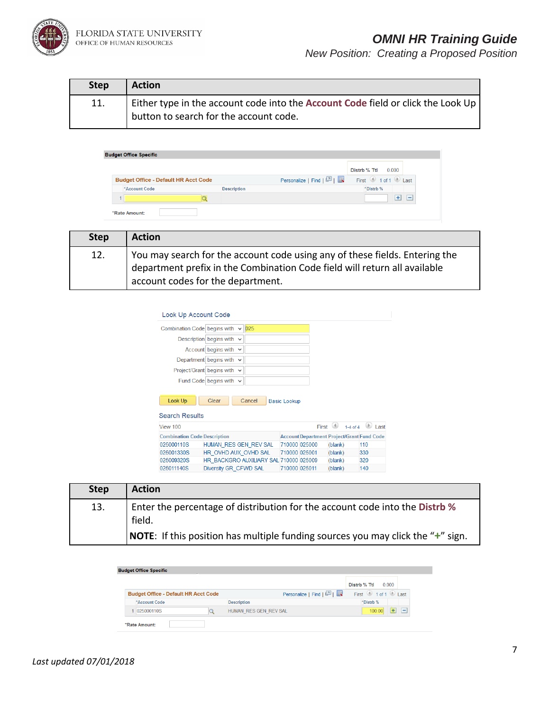

| <b>Step</b> | <b>Action</b>                                                                                                              |
|-------------|----------------------------------------------------------------------------------------------------------------------------|
| 11.         | Either type in the account code into the Account Code field or click the Look Up<br>button to search for the account code. |

|                                             |                    |                        | 0.000<br>Distrb % Ttl                   |
|---------------------------------------------|--------------------|------------------------|-----------------------------------------|
| <b>Budget Office - Default HR Acct Code</b> |                    | Personalize   Find   2 | First $\bigcirc$ 1 of 1 $\bigcirc$ Last |
| *Account Code                               | <b>Description</b> |                        | *Distrb %                               |
|                                             |                    |                        | ÷<br>$\overline{\phantom{0}}$           |

| <b>Step</b> | <b>Action</b>                                                                                                                                                                                 |
|-------------|-----------------------------------------------------------------------------------------------------------------------------------------------------------------------------------------------|
| 12.         | You may search for the account code using any of these fields. Entering the<br>department prefix in the Combination Code field will return all available<br>account codes for the department. |

| Look Up Account Code                |                                  |                                        |                     |       |                                                   |             |
|-------------------------------------|----------------------------------|----------------------------------------|---------------------|-------|---------------------------------------------------|-------------|
| Combination Code begins with        |                                  | $\vee$ 025                             |                     |       |                                                   |             |
|                                     | Description begins with $\vee$   |                                        |                     |       |                                                   |             |
|                                     | Account begins with $\vee$       |                                        |                     |       |                                                   |             |
|                                     | Department begins with           | $\checkmark$                           |                     |       |                                                   |             |
|                                     | Project/Grant begins with $\vee$ |                                        |                     |       |                                                   |             |
|                                     | Fund Code begins with $\vee$     |                                        |                     |       |                                                   |             |
| Look Up<br><b>Search Results</b>    | Clear                            | Cancel                                 | <b>Basic Lookup</b> |       |                                                   |             |
| View 100                            |                                  |                                        |                     | First | (4)<br>$1-4$ of $4$                               | <b>Last</b> |
| <b>Combination Code Description</b> |                                  |                                        |                     |       | <b>Account Department Project/Grant Fund Code</b> |             |
| 025000110S                          |                                  | HUMAN RES GEN REV SAL                  | 710000 025000       |       | (blank)                                           | 110         |
| 025001330S                          |                                  | HR OVHD AUX OVHD SAL                   | 710000 025001       |       | (blank)                                           | 330         |
| 025009320S                          |                                  | HR BACKGRO AUXILIARY SAL 710000 025009 |                     |       | (blank)                                           | 320         |
| 025011140S                          | Diversity GR CFWD SAL            |                                        | 710000 025011       |       | (blank)                                           | 140         |

| <b>Step</b> | <b>Action</b>                                                                              |
|-------------|--------------------------------------------------------------------------------------------|
| 13.         | Enter the percentage of distribution for the account code into the Distrb %<br>field.      |
|             | <b>NOTE:</b> If this position has multiple funding sources you may click the " $+$ " sign. |

|                                             |                        | Distrb % Ttl                            |        | 0.000 |    |
|---------------------------------------------|------------------------|-----------------------------------------|--------|-------|----|
| <b>Budget Office - Default HR Acct Code</b> | Personalize   Find   2 | First $\bigcirc$ 1 of 1 $\bigcirc$ Last |        |       |    |
| *Account Code                               | <b>Description</b>     | *Distrb %                               |        |       |    |
| 025000110S                                  | HUMAN RES GEN REV SAL  |                                         | 100.00 | $+$   | ı- |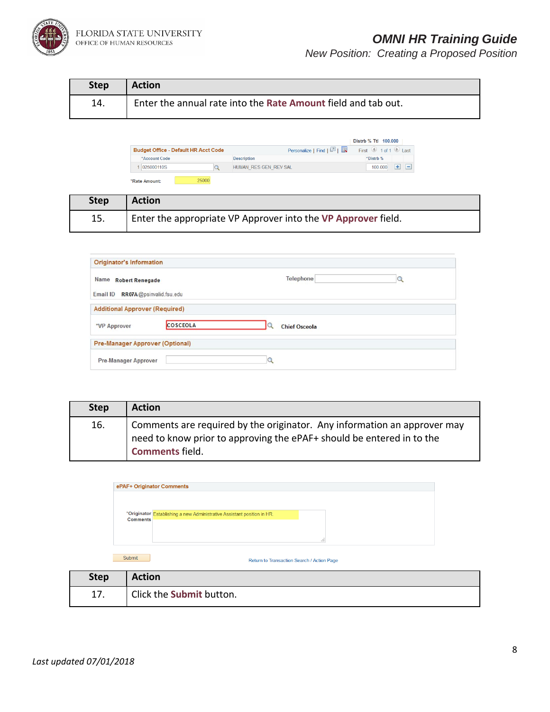

| <b>Step</b> | <b>Action</b>                                                 |
|-------------|---------------------------------------------------------------|
| 14.         | Enter the annual rate into the Rate Amount field and tab out. |

| <b>Budget Office - Default HR Acct Code</b> | Personalize   Find   2 | First $\bigcirc$ 1 of 1 $\bigcirc$ Last |
|---------------------------------------------|------------------------|-----------------------------------------|
| *Account Code                               | <b>Description</b>     | *Distrb %                               |
| 025000110S                                  | HUMAN RES GEN REV SAL  | 100,000<br>-                            |

| <b>Step</b> | Action                                                        |
|-------------|---------------------------------------------------------------|
| 15.         | Enter the appropriate VP Approver into the VP Approver field. |

| <b>Originator's Information</b>                           |                 |                      |  |
|-----------------------------------------------------------|-----------------|----------------------|--|
| Name Robert Renegade<br>Email ID RR07A @psinvalid.fsu.edu |                 | Telephone            |  |
| <b>Additional Approver (Required)</b>                     |                 |                      |  |
| *VP Approver                                              | <b>COSCEOLA</b> | <b>Chief Osceola</b> |  |
| <b>Pre-Manager Approver (Optional)</b>                    |                 |                      |  |
| <b>Pre-Manager Approver</b>                               |                 |                      |  |

| <b>Step</b> | <b>Action</b>                                                                                                                                                               |
|-------------|-----------------------------------------------------------------------------------------------------------------------------------------------------------------------------|
| 16.         | Comments are required by the originator. Any information an approver may<br>need to know prior to approving the ePAF+ should be entered in to the<br><b>Comments field.</b> |

|                 | ePAF+ Originator Comments                                                    |
|-----------------|------------------------------------------------------------------------------|
| <b>Comments</b> | *Originator Establishing a new Administrative Assistant position in HR.<br>÷ |
| Submit          | Return to Transaction Search / Action Page                                   |

| <b>Step</b> | <b>Action</b>            |
|-------------|--------------------------|
| 17.         | Click the Submit button. |